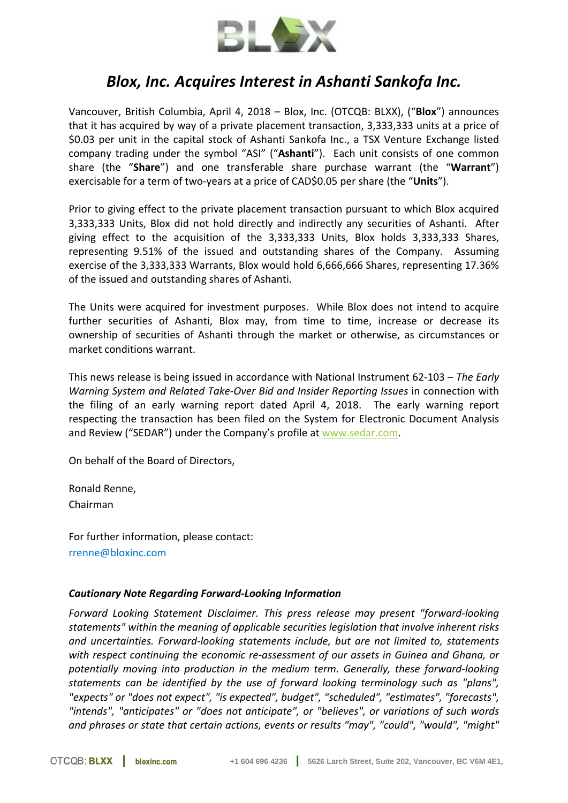

## *Blox, Inc. Acquires Interest in Ashanti Sankofa Inc.*

Vancouver, British Columbia, April 4, 2018 – Blox, Inc. (OTCQB: BLXX), ("**Blox**") announces that it has acquired by way of a private placement transaction, 3,333,333 units at a price of \$0.03 per unit in the capital stock of Ashanti Sankofa Inc., a TSX Venture Exchange listed company trading under the symbol "ASI" ("**Ashanti**"). Each unit consists of one common share (the "**Share**") and one transferable share purchase warrant (the "**Warrant**") exercisable for a term of two-years at a price of CAD\$0.05 per share (the "**Units**").

Prior to giving effect to the private placement transaction pursuant to which Blox acquired 3,333,333 Units, Blox did not hold directly and indirectly any securities of Ashanti. After giving effect to the acquisition of the 3,333,333 Units, Blox holds 3,333,333 Shares, representing 9.51% of the issued and outstanding shares of the Company. Assuming exercise of the 3,333,333 Warrants, Blox would hold 6,666,666 Shares, representing 17.36% of the issued and outstanding shares of Ashanti.

The Units were acquired for investment purposes. While Blox does not intend to acquire further securities of Ashanti, Blox may, from time to time, increase or decrease its ownership of securities of Ashanti through the market or otherwise, as circumstances or market conditions warrant.

This news release is being issued in accordance with National Instrument 62-103 – *The Early Warning System and Related Take-Over Bid and Insider Reporting Issues* in connection with the filing of an early warning report dated April 4, 2018. The early warning report respecting the transaction has been filed on the System for Electronic Document Analysis and Review ("SEDAR") under the Company's profile at www.sedar.com.

On behalf of the Board of Directors,

Ronald Renne, Chairman

For further information, please contact: rrenne@bloxinc.com

## *Cautionary Note Regarding Forward‐Looking Information*

*Forward Looking Statement Disclaimer. This press release may present "forward-looking statements" within the meaning of applicable securities legislation that involve inherent risks and uncertainties. Forward-looking statements include, but are not limited to, statements with respect continuing the economic re-assessment of our assets in Guinea and Ghana, or potentially moving into production in the medium term. Generally, these forward-looking statements can be identified by the use of forward looking terminology such as "plans", "expects" or "does not expect", "is expected", budget", "scheduled", "estimates", "forecasts", "intends", "anticipates" or "does not anticipate", or "believes", or variations of such words and phrases or state that certain actions, events or results "may", "could", "would", "might"*